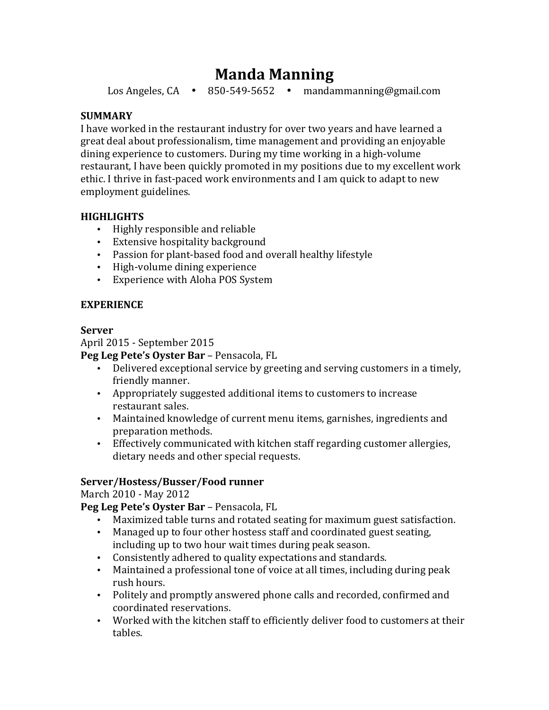# **Manda Manning**

Los Angeles,  $CA \rightarrow 850-549-5652 \rightarrow \text{mandammanning@gmail.com}$ 

# **SUMMARY**

I have worked in the restaurant industry for over two years and have learned a great deal about professionalism, time management and providing an enjoyable dining experience to customers. During my time working in a high-volume restaurant, I have been quickly promoted in my positions due to my excellent work ethic. I thrive in fast-paced work environments and I am quick to adapt to new employment guidelines.

# **HIGHLIGHTS**

- Highly responsible and reliable
- Extensive hospitality background
- Passion for plant-based food and overall healthy lifestyle
- High-volume dining experience
- Experience with Aloha POS System

## **EXPERIENCE**

#### **Server**

April 2015 - September 2015

## **Peg Leg Pete's Oyster Bar** – Pensacola, FL

- Delivered exceptional service by greeting and serving customers in a timely, friendly manner.
- Appropriately suggested additional items to customers to increase restaurant sales.
- Maintained knowledge of current menu items, garnishes, ingredients and preparation methods.
- Effectively communicated with kitchen staff regarding customer allergies, dietary needs and other special requests.

# Server/Hostess/Busser/Food runner

March 2010 - May 2012

Peg Leg Pete's Oyster Bar - Pensacola, FL

- Maximized table turns and rotated seating for maximum guest satisfaction.
- Managed up to four other hostess staff and coordinated guest seating, including up to two hour wait times during peak season.
- Consistently adhered to quality expectations and standards.
- Maintained a professional tone of voice at all times, including during peak rush hours.
- Politely and promptly answered phone calls and recorded, confirmed and coordinated reservations.
- Worked with the kitchen staff to efficiently deliver food to customers at their tables.